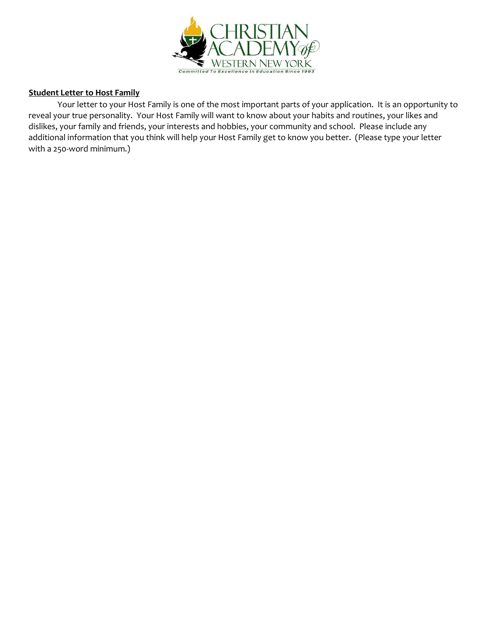

### **Student Letter to Host Family**

Your letter to your Host Family is one of the most important parts of your application. It is an opportunity to reveal your true personality. Your Host Family will want to know about your habits and routines, your likes and dislikes, your family and friends, your interests and hobbies, your community and school. Please include any additional information that you think will help your Host Family get to know you better. (Please type your letter with a 250-word minimum.)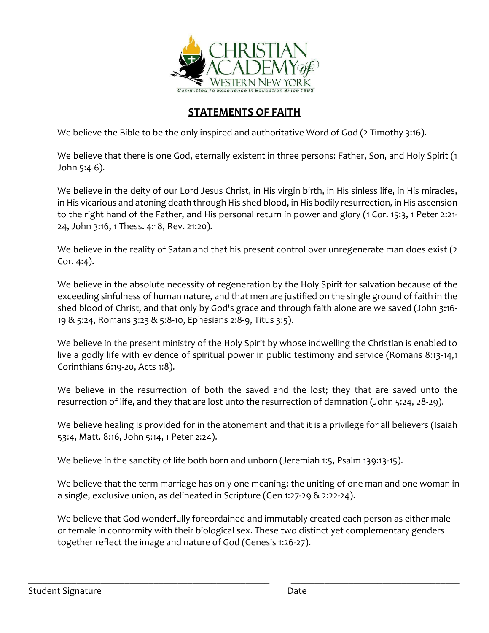

# **STATEMENTS OF FAITH**

We believe the Bible to be the only inspired and authoritative Word of God (2 Timothy 3:16).

We believe that there is one God, eternally existent in three persons: Father, Son, and Holy Spirit (1 John 5:4-6).

We believe in the deity of our Lord Jesus Christ, in His virgin birth, in His sinless life, in His miracles, in His vicarious and atoning death through His shed blood, in His bodily resurrection, in His ascension to the right hand of the Father, and His personal return in power and glory (1 Cor. 15:3, 1 Peter 2:21- 24, John 3:16, 1 Thess. 4:18, Rev. 21:20).

We believe in the reality of Satan and that his present control over unregenerate man does exist (2) Cor. 4:4).

We believe in the absolute necessity of regeneration by the Holy Spirit for salvation because of the exceeding sinfulness of human nature, and that men are justified on the single ground of faith in the shed blood of Christ, and that only by God's grace and through faith alone are we saved (John 3:16- 19 & 5:24, Romans 3:23 & 5:8-10, Ephesians 2:8-9, Titus 3:5).

We believe in the present ministry of the Holy Spirit by whose indwelling the Christian is enabled to live a godly life with evidence of spiritual power in public testimony and service (Romans 8:13-14,1 Corinthians 6:19-20, Acts 1:8).

We believe in the resurrection of both the saved and the lost; they that are saved unto the resurrection of life, and they that are lost unto the resurrection of damnation (John 5:24, 28-29).

We believe healing is provided for in the atonement and that it is a privilege for all believers (Isaiah 53:4, Matt. 8:16, John 5:14, 1 Peter 2:24).

We believe in the sanctity of life both born and unborn (Jeremiah 1:5, Psalm 139:13-15).

We believe that the term marriage has only one meaning: the uniting of one man and one woman in a single, exclusive union, as delineated in Scripture (Gen 1:27-29 & 2:22-24).

We believe that God wonderfully foreordained and immutably created each person as either male or female in conformity with their biological sex. These two distinct yet complementary genders together reflect the image and nature of God (Genesis 1:26-27).

\_\_\_\_\_\_\_\_\_\_\_\_\_\_\_\_\_\_\_\_\_\_\_\_\_\_\_\_\_\_\_\_\_\_\_\_\_\_\_\_\_\_\_\_\_\_\_\_\_\_ \_\_\_\_\_\_\_\_\_\_\_\_\_\_\_\_\_\_\_\_\_\_\_\_\_\_\_\_\_\_\_\_\_\_\_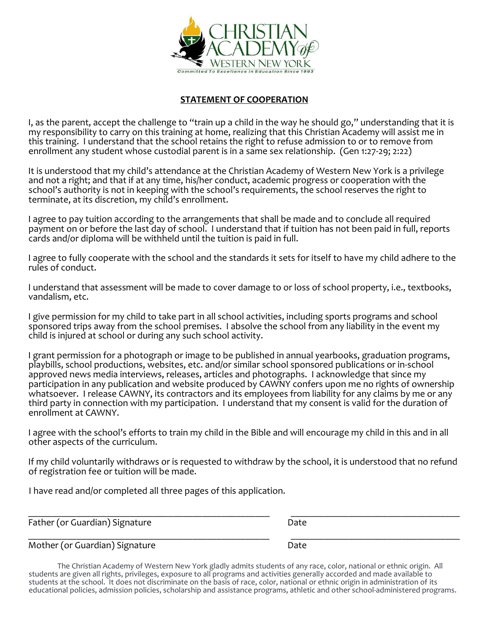

# **STATEMENT OF COOPERATION**

I, as the parent, accept the challenge to "train up a child in the way he should go," understanding that it is my responsibility to carry on this training at home, realizing that this Christian Academy will assist me in this training. I understand that the school retains the right to refuse admission to or to remove from enrollment any student whose custodial parent is in a same sex relationship. (Gen 1:27-29; 2:22)

It is understood that my child's attendance at the Christian Academy of Western New York is a privilege and not a right; and that if at any time, his/her conduct, academic progress or cooperation with the school's authority is not in keeping with the school's requirements, the school reserves the right to terminate, at its discretion, my child's enrollment.

I agree to pay tuition according to the arrangements that shall be made and to conclude all required payment on or before the last day of school. I understand that if tuition has not been paid in full, reports cards and/or diploma will be withheld until the tuition is paid in full.

I agree to fully cooperate with the school and the standards it sets for itself to have my child adhere to the rules of conduct.

I understand that assessment will be made to cover damage to or loss of school property, i.e., textbooks, vandalism, etc.

I give permission for my child to take part in all school activities, including sports programs and school sponsored trips away from the school premises. I absolve the school from any liability in the event my child is injured at school or during any such school activity.

I grant permission for a photograph or image to be published in annual yearbooks, graduation programs, playbills, school productions, websites, etc. and/or similar school sponsored publications or in-school approved news media interviews, releases, articles and photographs. I acknowledge that since my participation in any publication and website produced by CAWNY confers upon me no rights of ownership whatsoever. I release CAWNY, its contractors and its employees from liability for any claims by me or any third party in connection with my participation. I understand that my consent is valid for the duration of enrollment at CAWNY.

I agree with the school's efforts to train my child in the Bible and will encourage my child in this and in all other aspects of the curriculum.

If my child voluntarily withdraws or is requested to withdraw by the school, it is understood that no refund of registration fee or tuition will be made.

I have read and/or completed all three pages of this application.

\_\_\_\_\_\_\_\_\_\_\_\_\_\_\_\_\_\_\_\_\_\_\_\_\_\_\_\_\_\_\_\_\_\_\_\_\_\_\_\_\_\_\_\_\_\_\_\_\_\_ \_\_\_\_\_\_\_\_\_\_\_\_\_\_\_\_\_\_\_\_\_\_\_\_\_\_\_\_\_\_\_\_\_\_\_ Father (or Guardian) Signature **Date** Date

\_\_\_\_\_\_\_\_\_\_\_\_\_\_\_\_\_\_\_\_\_\_\_\_\_\_\_\_\_\_\_\_\_\_\_\_\_\_\_\_\_\_\_\_\_\_\_\_\_\_ \_\_\_\_\_\_\_\_\_\_\_\_\_\_\_\_\_\_\_\_\_\_\_\_\_\_\_\_\_\_\_\_\_\_\_ Mother (or Guardian) Signature **Date** Date

The Christian Academy of Western New York gladly admits students of any race, color, national or ethnic origin. All students are given all rights, privileges, exposure to all programs and activities generally accorded and made available to students at the school. It does not discriminate on the basis of race, color, national or ethnic origin in administration of its educational policies, admission policies, scholarship and assistance programs, athletic and other school-administered programs.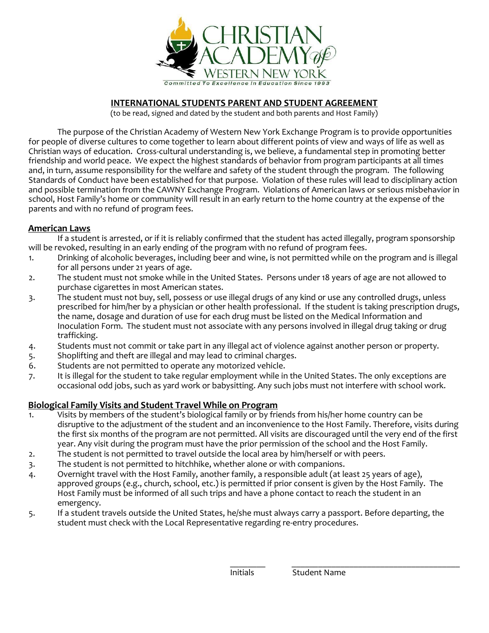

# **INTERNATIONAL STUDENTS PARENT AND STUDENT AGREEMENT**

(to be read, signed and dated by the student and both parents and Host Family)

The purpose of the Christian Academy of Western New York Exchange Program is to provide opportunities for people of diverse cultures to come together to learn about different points of view and ways of life as well as Christian ways of education. Cross-cultural understanding is, we believe, a fundamental step in promoting better friendship and world peace. We expect the highest standards of behavior from program participants at all times and, in turn, assume responsibility for the welfare and safety of the student through the program. The following Standards of Conduct have been established for that purpose. Violation of these rules will lead to disciplinary action and possible termination from the CAWNY Exchange Program. Violations of American laws or serious misbehavior in school, Host Family's home or community will result in an early return to the home country at the expense of the parents and with no refund of program fees.

## **American Laws**

If a student is arrested, or if it is reliably confirmed that the student has acted illegally, program sponsorship will be revoked, resulting in an early ending of the program with no refund of program fees.

- 1. Drinking of alcoholic beverages, including beer and wine, is not permitted while on the program and is illegal for all persons under 21 years of age.
- 2. The student must not smoke while in the United States. Persons under 18 years of age are not allowed to purchase cigarettes in most American states.
- 3. The student must not buy, sell, possess or use illegal drugs of any kind or use any controlled drugs, unless prescribed for him/her by a physician or other health professional. If the student is taking prescription drugs, the name, dosage and duration of use for each drug must be listed on the Medical Information and Inoculation Form. The student must not associate with any persons involved in illegal drug taking or drug trafficking.
- 4. Students must not commit or take part in any illegal act of violence against another person or property.
- 5. Shoplifting and theft are illegal and may lead to criminal charges.
- 6. Students are not permitted to operate any motorized vehicle.
- 7. It is illegal for the student to take regular employment while in the United States. The only exceptions are occasional odd jobs, such as yard work or babysitting. Any such jobs must not interfere with school work.

## **Biological Family Visits and Student Travel While on Program**

- 1. Visits by members of the student's biological family or by friends from his/her home country can be disruptive to the adjustment of the student and an inconvenience to the Host Family. Therefore, visits during the first six months of the program are not permitted. All visits are discouraged until the very end of the first year. Any visit during the program must have the prior permission of the school and the Host Family.
- 2. The student is not permitted to travel outside the local area by him/herself or with peers.
- 3. The student is not permitted to hitchhike, whether alone or with companions.
- 4. Overnight travel with the Host Family, another family, a responsible adult (at least 25 years of age), approved groups (e.g., church, school, etc.) is permitted if prior consent is given by the Host Family. The Host Family must be informed of all such trips and have a phone contact to reach the student in an emergency.
- 5. If a student travels outside the United States, he/she must always carry a passport. Before departing, the student must check with the Local Representative regarding re-entry procedures.

\_\_\_\_\_\_\_\_ \_\_\_\_\_\_\_\_\_\_\_\_\_\_\_\_\_\_\_\_\_\_\_\_\_\_\_\_\_\_\_\_\_\_\_\_\_\_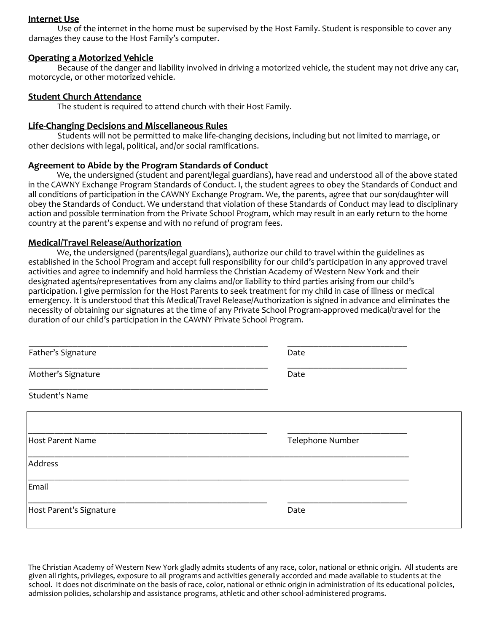### **Internet Use**

Use of the internet in the home must be supervised by the Host Family. Student is responsible to cover any damages they cause to the Host Family's computer.

### **Operating a Motorized Vehicle**

Because of the danger and liability involved in driving a motorized vehicle, the student may not drive any car, motorcycle, or other motorized vehicle.

### **Student Church Attendance**

The student is required to attend church with their Host Family.

### **Life-Changing Decisions and Miscellaneous Rules**

Students will not be permitted to make life-changing decisions, including but not limited to marriage, or other decisions with legal, political, and/or social ramifications.

### **Agreement to Abide by the Program Standards of Conduct**

We, the undersigned (student and parent/legal guardians), have read and understood all of the above stated in the CAWNY Exchange Program Standards of Conduct. I, the student agrees to obey the Standards of Conduct and all conditions of participation in the CAWNY Exchange Program. We, the parents, agree that our son/daughter will obey the Standards of Conduct. We understand that violation of these Standards of Conduct may lead to disciplinary action and possible termination from the Private School Program, which may result in an early return to the home country at the parent's expense and with no refund of program fees.

### **Medical/Travel Release/Authorization**

We, the undersigned (parents/legal guardians), authorize our child to travel within the guidelines as established in the School Program and accept full responsibility for our child's participation in any approved travel activities and agree to indemnify and hold harmless the Christian Academy of Western New York and their designated agents/representatives from any claims and/or liability to third parties arising from our child's participation. I give permission for the Host Parents to seek treatment for my child in case of illness or medical emergency. It is understood that this Medical/Travel Release/Authorization is signed in advance and eliminates the necessity of obtaining our signatures at the time of any Private School Program-approved medical/travel for the duration of our child's participation in the CAWNY Private School Program.

| Father's Signature      | Date             |
|-------------------------|------------------|
| Mother's Signature      | Date             |
| Student's Name          |                  |
| <b>Host Parent Name</b> | Telephone Number |
| Address                 |                  |
| Email                   |                  |
| Host Parent's Signature | Date             |

The Christian Academy of Western New York gladly admits students of any race, color, national or ethnic origin. All students are given all rights, privileges, exposure to all programs and activities generally accorded and made available to students at the school. It does not discriminate on the basis of race, color, national or ethnic origin in administration of its educational policies, admission policies, scholarship and assistance programs, athletic and other school-administered programs.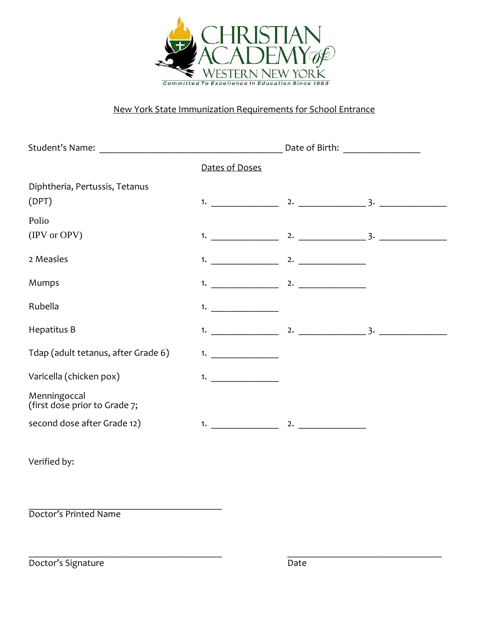

# New York State Immunization Requirements for School Entrance

|                                               |                    | Date of Birth: _________________ |  |
|-----------------------------------------------|--------------------|----------------------------------|--|
|                                               | Dates of Doses     |                                  |  |
| Diphtheria, Pertussis, Tetanus                |                    |                                  |  |
| (DPT)                                         |                    |                                  |  |
| Polio                                         |                    |                                  |  |
| (IPV or OPV)                                  |                    |                                  |  |
| 2 Measles                                     |                    |                                  |  |
| Mumps                                         |                    |                                  |  |
| Rubella                                       | 1. $\qquad \qquad$ |                                  |  |
| Hepatitus B                                   |                    |                                  |  |
| Tdap (adult tetanus, after Grade 6)           |                    |                                  |  |
| Varicella (chicken pox)                       | 1.                 |                                  |  |
| Menningoccal<br>(first dose prior to Grade 7; |                    |                                  |  |
| second dose after Grade 12)                   | 1. $\qquad \qquad$ | $\sim$ 2.                        |  |
|                                               |                    |                                  |  |

\_\_\_\_\_\_\_\_\_\_\_\_\_\_\_\_\_\_\_\_\_\_\_\_\_\_\_\_\_\_\_\_\_\_\_\_\_\_\_\_ \_\_\_\_\_\_\_\_\_\_\_\_\_\_\_\_\_\_\_\_\_\_\_\_\_\_\_\_\_\_\_\_

Verified by:

\_\_\_\_\_\_\_\_\_\_\_\_\_\_\_\_\_\_\_\_\_\_\_\_\_\_\_\_\_\_\_\_\_\_\_\_\_\_\_\_ Doctor's Printed Name

Doctor's Signature Date Date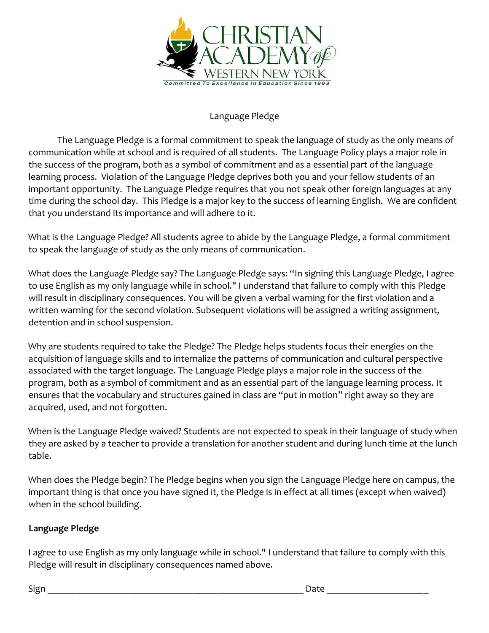

# Language Pledge

The Language Pledge is a formal commitment to speak the language of study as the only means of communication while at school and is required of all students. The Language Policy plays a major role in the success of the program, both as a symbol of commitment and as a essential part of the language learning process. Violation of the Language Pledge deprives both you and your fellow students of an important opportunity. The Language Pledge requires that you not speak other foreign languages at any time during the school day. This Pledge is a major key to the success of learning English. We are confident that you understand its importance and will adhere to it.

What is the Language Pledge? All students agree to abide by the Language Pledge, a formal commitment to speak the language of study as the only means of communication.

What does the Language Pledge say? The Language Pledge says: "In signing this Language Pledge, I agree to use English as my only language while in school." I understand that failure to comply with this Pledge will result in disciplinary consequences. You will be given a verbal warning for the first violation and a written warning for the second violation. Subsequent violations will be assigned a writing assignment, detention and in school suspension.

Why are students required to take the Pledge? The Pledge helps students focus their energies on the acquisition of language skills and to internalize the patterns of communication and cultural perspective associated with the target language. The Language Pledge plays a major role in the success of the program, both as a symbol of commitment and as an essential part of the language learning process. It ensures that the vocabulary and structures gained in class are "put in motion" right away so they are acquired, used, and not forgotten.

When is the Language Pledge waived? Students are not expected to speak in their language of study when they are asked by a teacher to provide a translation for another student and during lunch time at the lunch table.

When does the Pledge begin? The Pledge begins when you sign the Language Pledge here on campus, the important thing is that once you have signed it, the Pledge is in effect at all times (except when waived) when in the school building.

# **Language Pledge**

I agree to use English as my only language while in school." I understand that failure to comply with this Pledge will result in disciplinary consequences named above.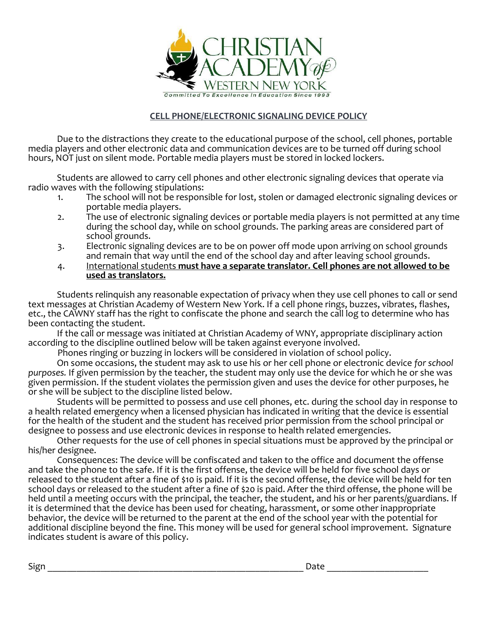

# **CELL PHONE/ELECTRONIC SIGNALING DEVICE POLICY**

Due to the distractions they create to the educational purpose of the school, cell phones, portable media players and other electronic data and communication devices are to be turned off during school hours, NOT just on silent mode. Portable media players must be stored in locked lockers.

Students are allowed to carry cell phones and other electronic signaling devices that operate via radio waves with the following stipulations:<br>The school will not be respons

- The school will not be responsible for lost, stolen or damaged electronic signaling devices or portable media players.
- 2. The use of electronic signaling devices or portable media players is not permitted at any time during the school day, while on school grounds. The parking areas are considered part of school grounds.
- 3. Electronic signaling devices are to be on power off mode upon arriving on school grounds and remain that way until the end of the school day and after leaving school grounds.
- 4. International students **must have a separate translator. Cell phones are not allowed to be used as translators.**

Students relinquish any reasonable expectation of privacy when they use cell phones to call or send text messages at Christian Academy of Western New York. If a cell phone rings, buzzes, vibrates, flashes, etc., the CAWNY staff has the right to confiscate the phone and search the call log to determine who has been contacting the student.

If the call or message was initiated at Christian Academy of WNY, appropriate disciplinary action according to the discipline outlined below will be taken against everyone involved.

Phones ringing or buzzing in lockers will be considered in violation of school policy. On some occasions, the student may ask to use his or her cell phone or electronic device *for school purposes.* If given permission by the teacher, the student may only use the device for which he or she was given permission. If the student violates the permission given and uses the device for other purposes, he or she will be subject to the discipline listed below.

Students will be permitted to possess and use cell phones, etc. during the school day in response to a health related emergency when a licensed physician has indicated in writing that the device is essential for the health of the student and the student has received prior permission from the school principal or designee to possess and use electronic devices in response to health related emergencies.

Other requests for the use of cell phones in special situations must be approved by the principal or his/her designee.

Consequences: The device will be confiscated and taken to the office and document the offense and take the phone to the safe. If it is the first offense, the device will be held for five school days or released to the student after a fine of \$10 is paid. If it is the second offense, the device will be held for ten school days or released to the student after a fine of \$20 is paid. After the third offense, the phone will be held until a meeting occurs with the principal, the teacher, the student, and his or her parents/guardians. If it is determined that the device has been used for cheating, harassment, or some other inappropriate behavior, the device will be returned to the parent at the end of the school year with the potential for additional discipline beyond the fine. This money will be used for general school improvement. Signature indicates student is aware of this policy.

Sign \_\_\_\_\_\_\_\_\_\_\_\_\_\_\_\_\_\_\_\_\_\_\_\_\_\_\_\_\_\_\_\_\_\_\_\_\_\_\_\_\_\_\_\_\_\_\_\_\_\_\_\_\_ Date \_\_\_\_\_\_\_\_\_\_\_\_\_\_\_\_\_\_\_\_\_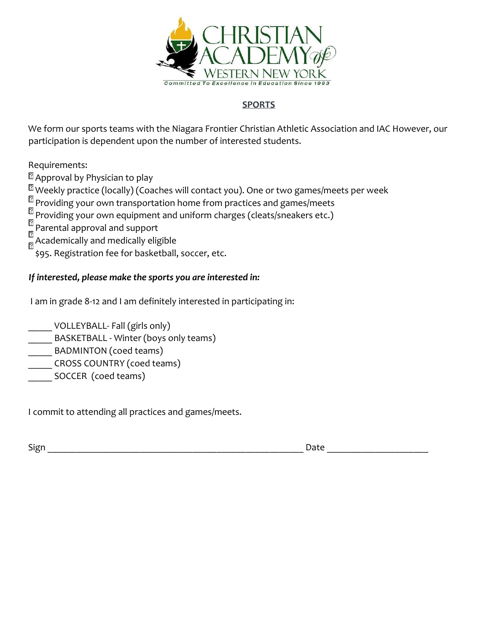

# **SPORTS**

We form our sports teams with the Niagara Frontier Christian Athletic Association and IAC However, our participation is dependent upon the number of interested students.

Requirements:

<sup>2</sup> Approval by Physician to play

 $\mathbb{\Omega}$  Weekly practice (locally) (Coaches will contact you). One or two games/meets per week

 $\frac{2}{3}$  Providing your own transportation home from practices and games/meets

 $\frac{2}{n}$  Providing your own equipment and uniform charges (cleats/sneakers etc.)

ิิเ2 Parental approval and support 冈

 $\frac{1}{\sqrt{2}}$ Academically and medically eligible

\$95. Registration fee for basketball, soccer, etc.

# *If interested, please make the sports you are interested in:*

I am in grade 8-12 and I am definitely interested in participating in:

\_\_\_\_\_ VOLLEYBALL- Fall (girls only)

- BASKETBALL Winter (boys only teams)
- BADMINTON (coed teams)
- CROSS COUNTRY (coed teams)
- SOCCER (coed teams)

I commit to attending all practices and games/meets.

Sign \_\_\_\_\_\_\_\_\_\_\_\_\_\_\_\_\_\_\_\_\_\_\_\_\_\_\_\_\_\_\_\_\_\_\_\_\_\_\_\_\_\_\_\_\_\_\_\_\_\_\_\_\_ Date \_\_\_\_\_\_\_\_\_\_\_\_\_\_\_\_\_\_\_\_\_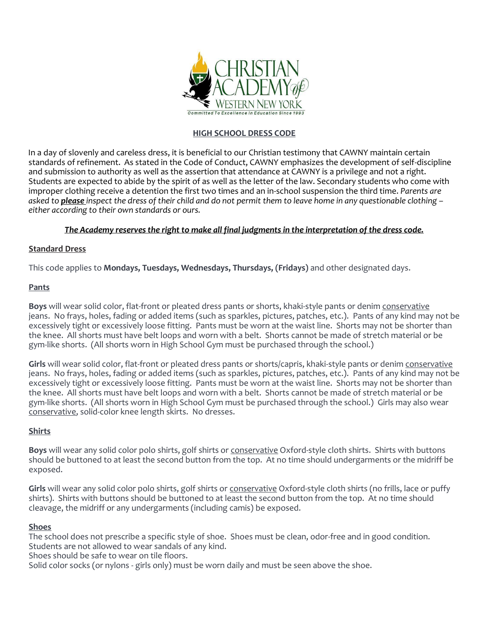

### **HIGH SCHOOL DRESS CODE**

In a day of slovenly and careless dress, it is beneficial to our Christian testimony that CAWNY maintain certain standards of refinement. As stated in the Code of Conduct, CAWNY emphasizes the development of self-discipline and submission to authority as well as the assertion that attendance at CAWNY is a privilege and not a right. Students are expected to abide by the spirit of as well as the letter of the law. Secondary students who come with improper clothing receive a detention the first two times and an in-school suspension the third time. *Parents are asked to please inspect the dress of their child and do not permit them to leave home in any questionable clothing – either according to their own standards or ours.*

### *The Academy reserves the right to make all final judgments in the interpretation of the dress code.*

### **Standard Dress**

This code applies to **Mondays, Tuesdays, Wednesdays, Thursdays, (Fridays)** and other designated days.

#### **Pants**

**Boys** will wear solid color, flat-front or pleated dress pants or shorts, khaki-style pants or denim conservative jeans. No frays, holes, fading or added items (such as sparkles, pictures, patches, etc.). Pants of any kind may not be excessively tight or excessively loose fitting. Pants must be worn at the waist line. Shorts may not be shorter than the knee. All shorts must have belt loops and worn with a belt. Shorts cannot be made of stretch material or be gym-like shorts. (All shorts worn in High School Gym must be purchased through the school.)

Girls will wear solid color, flat-front or pleated dress pants or shorts/capris, khaki-style pants or denim conservative jeans. No frays, holes, fading or added items (such as sparkles, pictures, patches, etc.). Pants of any kind may not be excessively tight or excessively loose fitting. Pants must be worn at the waist line. Shorts may not be shorter than the knee. All shorts must have belt loops and worn with a belt. Shorts cannot be made of stretch material or be gym-like shorts. (All shorts worn in High School Gym must be purchased through the school.) Girls may also wear conservative, solid-color knee length skirts. No dresses.

#### **Shirts**

**Boys** will wear any solid color polo shirts, golf shirts or conservative Oxford-style cloth shirts. Shirts with buttons should be buttoned to at least the second button from the top. At no time should undergarments or the midriff be exposed.

**Girls** will wear any solid color polo shirts, golf shirts or conservative Oxford-style cloth shirts (no frills, lace or puffy shirts). Shirts with buttons should be buttoned to at least the second button from the top. At no time should cleavage, the midriff or any undergarments (including camis) be exposed.

#### **Shoes**

The school does not prescribe a specific style of shoe. Shoes must be clean, odor-free and in good condition. Students are not allowed to wear sandals of any kind.

Shoes should be safe to wear on tile floors.

Solid color socks (or nylons - girls only) must be worn daily and must be seen above the shoe.